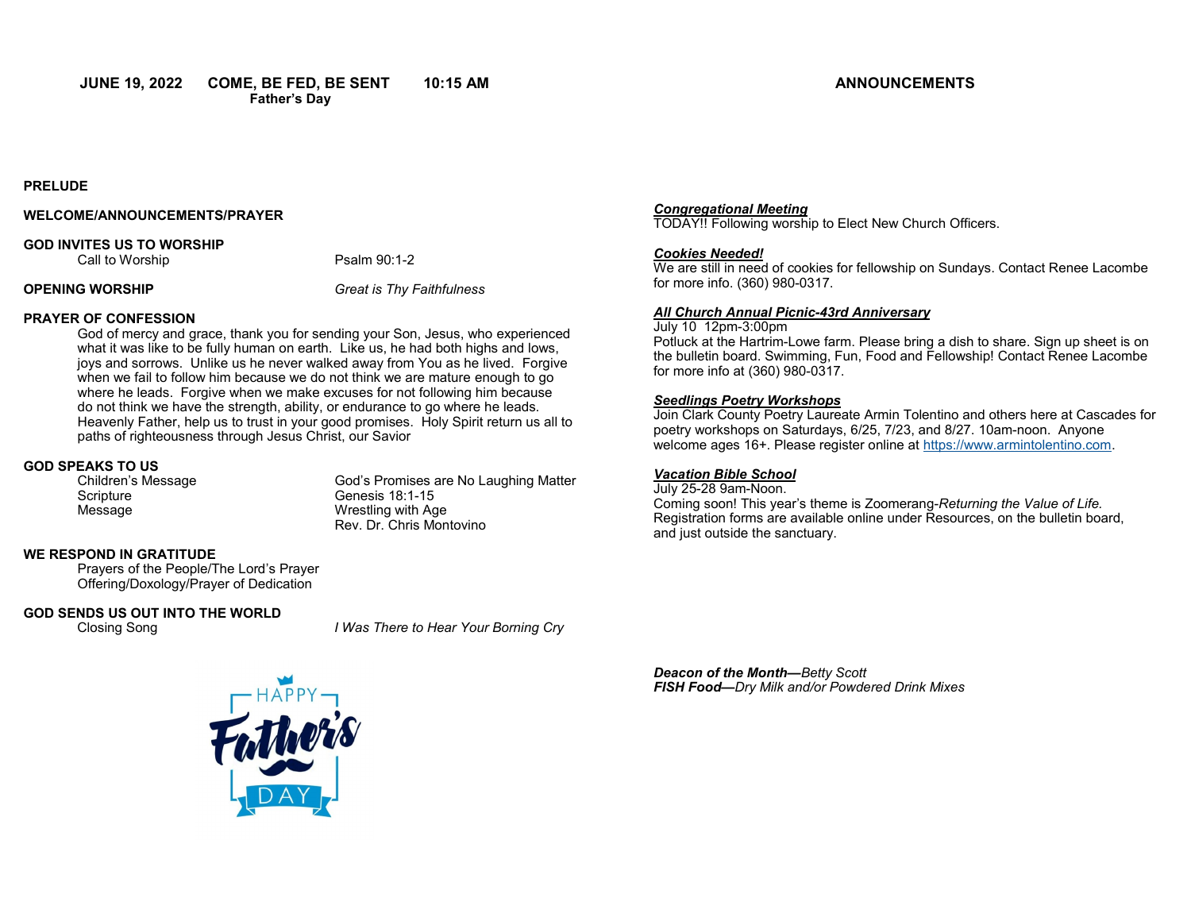#### **PRELUDE**

#### **WELCOME/ANNOUNCEMENTS/PRAYER**

#### **GOD INVITES US TO WORSHIP**

Call to Worship **Psalm 90:1-2** 

**OPENING WORSHIP** *Great is Thy Faithfulness*

### **PRAYER OF CONFESSION**

God of mercy and grace, thank you for sending your Son, Jesus, who experienced what it was like to be fully human on earth. Like us, he had both highs and lows, joys and sorrows. Unlike us he never walked away from You as he lived. Forgive when we fail to follow him because we do not think we are mature enough to go where he leads. Forgive when we make excuses for not following him because do not think we have the strength, ability, or endurance to go where he leads. Heavenly Father, help us to trust in your good promises. Holy Spirit return us all to paths of righteousness through Jesus Christ, our Savior

# **GOD SPEAKS TO US**

Scripture Genesis 18:1-15 Message Wrestling with Age

God's Promises are No Laughing Matter Rev. Dr. Chris Montovino

### **WE RESPOND IN GRATITUDE**

Prayers of the People/The Lord's Prayer Offering/Doxology/Prayer of Dedication

#### **GOD SENDS US OUT INTO THE WORLD**

Closing Song *I Was There to Hear Your Borning Cry*



#### *Congregational Meeting*

TODAY!! Following worship to Elect New Church Officers.

#### *Cookies Needed!*

We are still in need of cookies for fellowship on Sundays. Contact Renee Lacombe for more info. (360) 980-0317.

#### *All Church Annual Picnic-43rd Anniversary*

July 10 12pm-3:00pm Potluck at the Hartrim-Lowe farm. Please bring a dish to share. Sign up sheet is on the bulletin board. Swimming, Fun, Food and Fellowship! Contact Renee Lacombe for more info at (360) 980-0317.

#### *Seedlings Poetry Workshops*

Join Clark County Poetry Laureate Armin Tolentino and others here at Cascades for poetry workshops on Saturdays, 6/25, 7/23, and 8/27. 10am-noon. Anyone welcome ages 16+. Please register online at https://www.armintolentino.com.

#### *Vacation Bible School*

July 25-28 9am-Noon. Coming soon! This year's theme is Zoomerang-*Returning the Value of Life.*  Registration forms are available online under Resources, on the bulletin board, and just outside the sanctuary.

*Deacon of the Month—Betty Scott FISH Food—Dry Milk and/or Powdered Drink Mixes*